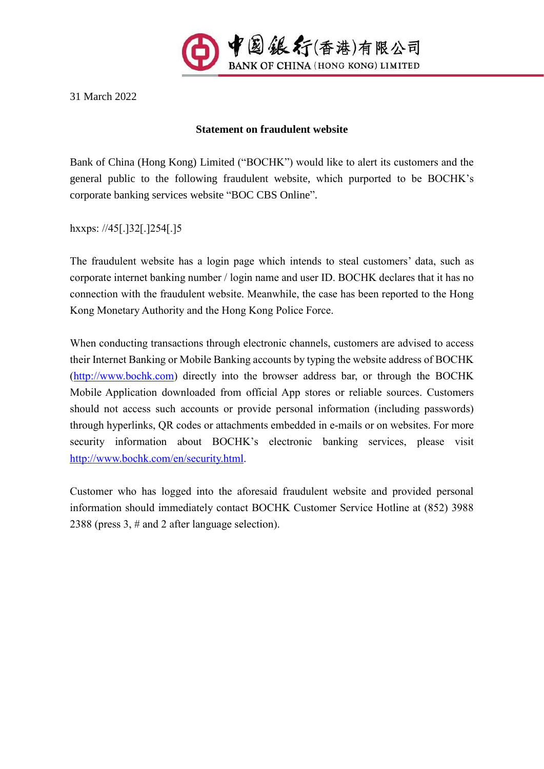

31 March 2022

## **Statement on fraudulent website**

Bank of China (Hong Kong) Limited ("BOCHK") would like to alert its customers and the general public to the following fraudulent website, which purported to be BOCHK's corporate banking services website "BOC CBS Online".

hxxps: //45[.]32[.]254[.]5

The fraudulent website has a login page which intends to steal customers' data, such as corporate internet banking number / login name and user ID. BOCHK declares that it has no connection with the fraudulent website. Meanwhile, the case has been reported to the Hong Kong Monetary Authority and the Hong Kong Police Force.

When conducting transactions through electronic channels, customers are advised to access their Internet Banking or Mobile Banking accounts by typing the website address of BOCHK [\(http://www.bochk.com\)](http://www.bochk.com/) directly into the browser address bar, or through the BOCHK Mobile Application downloaded from official App stores or reliable sources. Customers should not access such accounts or provide personal information (including passwords) through hyperlinks, QR codes or attachments embedded in e-mails or on websites. For more security information about BOCHK's electronic banking services, please visit [http://www.bochk.com/en/security.html.](http://www.bochk.com/en/security.html)

Customer who has logged into the aforesaid fraudulent website and provided personal information should immediately contact BOCHK Customer Service Hotline at (852) 3988 2388 (press 3, # and 2 after language selection).